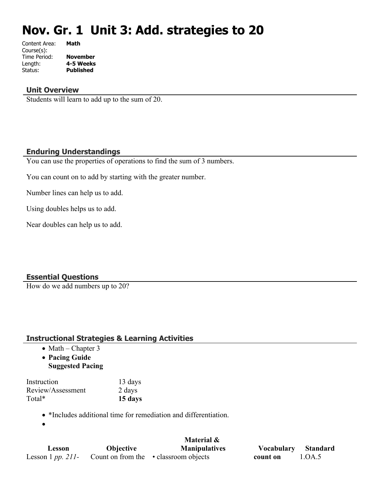# **Nov. Gr. 1 Unit 3: Add. strategies to 20**

| Content Area: | Math             |
|---------------|------------------|
| Course(s):    |                  |
| Time Period:  | <b>November</b>  |
| Length:       | 4-5 Weeks        |
| Status:       | <b>Published</b> |
|               |                  |

#### **Unit Overview**

Students will learn to add up to the sum of 20.

#### **Enduring Understandings**

You can use the properties of operations to find the sum of 3 numbers.

You can count on to add by starting with the greater number.

Number lines can help us to add.

Using doubles helps us to add.

Near doubles can help us to add.

## **Essential Questions**

How do we add numbers up to 20?

#### **Instructional Strategies & Learning Activities**

- $\bullet$  Math Chapter 3
- **Pacing Guide**
- **Suggested Pacing**

| Instruction       | 13 days |
|-------------------|---------|
| Review/Assessment | 2 days  |
| Total*            | 15 days |

- \*Includes additional time for remediation and differentiation.
- $\bullet$

|                   |                  | Material &                            |                   |          |
|-------------------|------------------|---------------------------------------|-------------------|----------|
| Lesson            | <b>Objective</b> | <b>Manipulatives</b>                  | <b>Vocabulary</b> | Standard |
| Lesson 1 pp. 211- |                  | Count on from the • classroom objects | count on          | 1.OA.5   |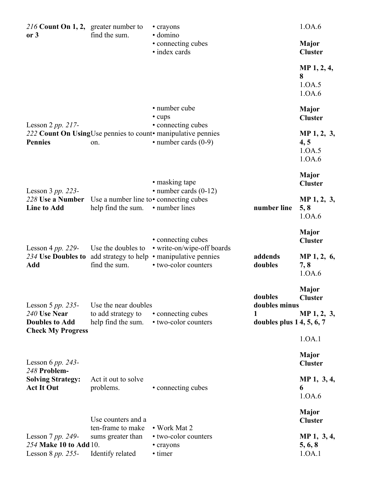| 216 Count On 1, 2, greater number to<br>or 3                          | find the sum.                                                    | • crayons<br>· domino                                                                                            |                                                           | 1.0A.6                                        |
|-----------------------------------------------------------------------|------------------------------------------------------------------|------------------------------------------------------------------------------------------------------------------|-----------------------------------------------------------|-----------------------------------------------|
|                                                                       |                                                                  | • connecting cubes<br>· index cards                                                                              |                                                           | <b>Major</b><br><b>Cluster</b>                |
|                                                                       |                                                                  |                                                                                                                  |                                                           | MP 1, 2, 4,<br>8<br>1.0A.5<br>1.0A.6          |
|                                                                       |                                                                  | • number cube<br>• cups                                                                                          |                                                           | <b>Major</b><br><b>Cluster</b>                |
| Lesson $2 pp. 217$ -<br><b>Pennies</b>                                | on.                                                              | • connecting cubes<br>222 Count On Using Use pennies to count manipulative pennies<br>$\cdot$ number cards (0-9) |                                                           | MP 1, 2, 3,<br>4, 5<br>1.0A.5<br>1.0A.6       |
| Lesson $3 pp. 223$ -                                                  |                                                                  | • masking tape<br>$\cdot$ number cards (0-12)                                                                    |                                                           | <b>Major</b><br><b>Cluster</b>                |
| 228 Use a Number<br><b>Line to Add</b>                                | Use a number line to • connecting cubes<br>help find the sum.    | • number lines                                                                                                   | number line                                               | MP 1, 2, 3,<br>5, 8<br>1.0A.6                 |
| Lesson 4 pp. 229-                                                     | Use the doubles to                                               | • connecting cubes<br>• write-on/wipe-off boards                                                                 |                                                           | <b>Major</b><br><b>Cluster</b>                |
| 234 Use Doubles to<br>Add                                             | find the sum.                                                    | add strategy to help • manipulative pennies<br>• two-color counters                                              | addends<br>doubles                                        | MP 1, 2, 6,<br>7, 8<br>1.0A.6                 |
| Lesson 5 $pp. 235$ -<br>240 Use Near<br><b>Doubles to Add</b>         | Use the near doubles<br>to add strategy to<br>help find the sum. | • connecting cubes<br>• two-color counters                                                                       | doubles<br>doubles minus<br>1<br>doubles plus 14, 5, 6, 7 | <b>Major</b><br><b>Cluster</b><br>MP 1, 2, 3, |
| <b>Check My Progress</b>                                              |                                                                  |                                                                                                                  |                                                           | 1.0A.1                                        |
| Lesson 6 pp. 243-<br>248 Problem-                                     |                                                                  |                                                                                                                  |                                                           | <b>Major</b><br><b>Cluster</b>                |
| <b>Solving Strategy:</b><br><b>Act It Out</b>                         | Act it out to solve<br>problems.                                 | • connecting cubes                                                                                               |                                                           | MP 1, 3, 4,<br>6<br>1.0A.6                    |
|                                                                       | Use counters and a<br>ten-frame to make                          | • Work Mat 2                                                                                                     |                                                           | <b>Major</b><br><b>Cluster</b>                |
| Lesson $7$ pp. 249-<br>254 Make 10 to Add 10.<br>Lesson 8 $pp. 255$ - | sums greater than<br>Identify related                            | • two-color counters<br>• crayons<br>• timer                                                                     |                                                           | MP 1, 3, 4,<br>5, 6, 8<br>1.0A.1              |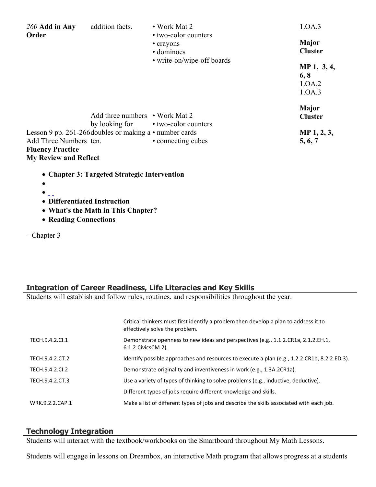| $260$ Add in Any                                                                  | addition facts.                                               | • Work Mat $2$                                  | 1.0A.3                                  |
|-----------------------------------------------------------------------------------|---------------------------------------------------------------|-------------------------------------------------|-----------------------------------------|
| Order                                                                             |                                                               | • two-color counters<br>• crayons<br>· dominoes | <b>Major</b><br><b>Cluster</b>          |
|                                                                                   |                                                               | • write-on/wipe-off boards                      | MP 1, 3, 4,<br>6, 8<br>1.0A.2<br>1.0A.3 |
|                                                                                   | Add three numbers $\cdot$ Work Mat 2                          | by looking for • two-color counters             | <b>Major</b><br><b>Cluster</b>          |
| Add Three Numbers ten.<br><b>Fluency Practice</b><br><b>My Review and Reflect</b> | Lesson 9 pp. 261-266 doubles or making a $\cdot$ number cards | • connecting cubes                              | MP 1, 2, 3,<br>5, 6, 7                  |
|                                                                                   | • Chanton 2. Taxaatad Stuategia Intervention                  |                                                 |                                         |

- **Chapter 3: Targeted Strategic Intervention**
- $\bullet$
- $\bullet$   $\overline{\phantom{0}}$
- **Differentiated Instruction**
- **What's the Math in This Chapter?**
- **Reading Connections**
- Chapter 3

# **Integration of Career Readiness, Life Literacies and Key Skills**

Students will establish and follow rules, routines, and responsibilities throughout the year.

|                 | Critical thinkers must first identify a problem then develop a plan to address it to<br>effectively solve the problem. |
|-----------------|------------------------------------------------------------------------------------------------------------------------|
| TECH.9.4.2.CI.1 | Demonstrate openness to new ideas and perspectives (e.g., 1.1.2.CR1a, 2.1.2.EH.1,<br>6.1.2. Civics CM. 2).             |
| TECH.9.4.2.CT.2 | Identify possible approaches and resources to execute a plan (e.g., 1.2.2.CR1b, 8.2.2.ED.3).                           |
| TECH.9.4.2.CI.2 | Demonstrate originality and inventiveness in work (e.g., 1.3A.2CR1a).                                                  |
| TECH.9.4.2.CT.3 | Use a variety of types of thinking to solve problems (e.g., inductive, deductive).                                     |
|                 | Different types of jobs require different knowledge and skills.                                                        |
| WRK.9.2.2.CAP.1 | Make a list of different types of jobs and describe the skills associated with each job.                               |

## **Technology Integration**

Students will interact with the textbook/workbooks on the Smartboard throughout My Math Lessons.

Students will engage in lessons on Dreambox, an interactive Math program that allows progress at a students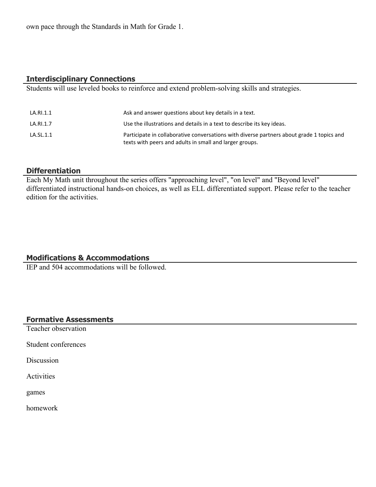own pace through the Standards in Math for Grade 1.

### **Interdisciplinary Connections**

Students will use leveled books to reinforce and extend problem-solving skills and strategies.

| LA.RI.1.1 | Ask and answer questions about key details in a text.                                                                                                |
|-----------|------------------------------------------------------------------------------------------------------------------------------------------------------|
| LA.RI.1.7 | Use the illustrations and details in a text to describe its key ideas.                                                                               |
| LA.SL.1.1 | Participate in collaborative conversations with diverse partners about grade 1 topics and<br>texts with peers and adults in small and larger groups. |

#### **Differentiation**

Each My Math unit throughout the series offers "approaching level", "on level" and "Beyond level" differentiated instructional hands-on choices, as well as ELL differentiated support. Please refer to the teacher edition for the activities.

#### **Modifications & Accommodations**

IEP and 504 accommodations will be followed.

## **Formative Assessments**

Teacher observation

Student conferences

**Discussion** 

Activities

games

homework